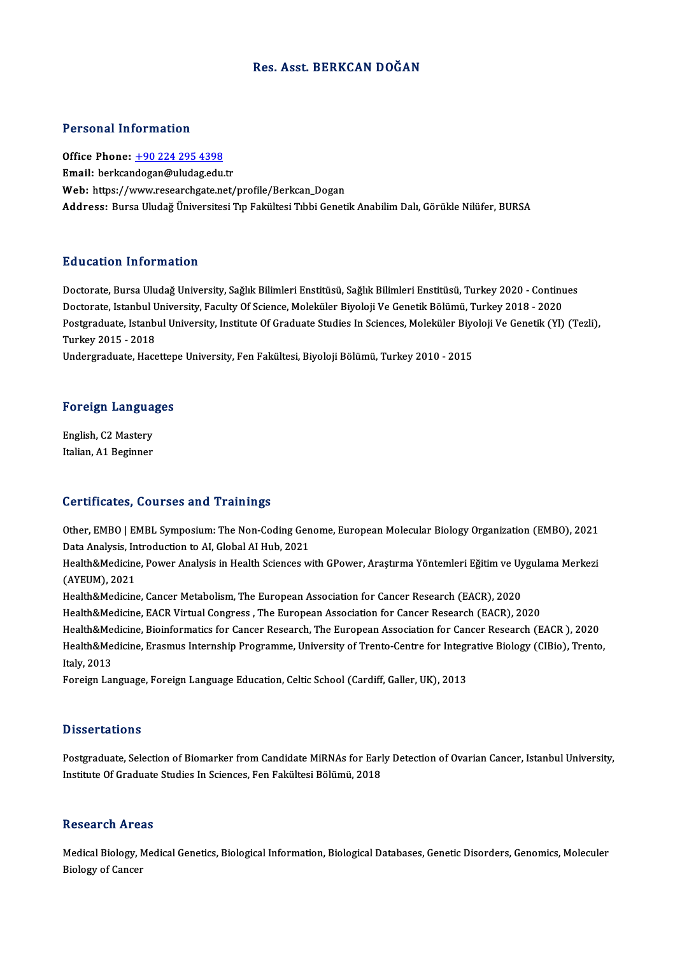## Res. Asst. BERKCAN DOĞAN

### Personal Information

Personal Information<br>Office Phone: <u>+90 224 295 4398</u><br>Email: berkeardesan@uludes.cdu 1 STOOMAT INTOI INCLUIT<br>Office Phone: <u>+90 224 295 4398</u><br>Email: berkcan[dogan@uludag.edu](tel:+90 224 295 4398).tr Email: berkcandogan@uludag.edu.tr<br>Web: https://www.researchgate.net/profile/Berkcan\_Dogan Address: Bursa Uludağ Üniversitesi Tıp Fakültesi Tıbbi Genetik Anabilim Dalı, Görükle Nilüfer, BURSA

### Education Information

**Education Information**<br>Doctorate, Bursa Uludağ University, Sağlık Bilimleri Enstitüsü, Sağlık Bilimleri Enstitüsü, Turkey 2020 - Continues<br>Doctorate, Istanbul University, Faculty Of Science, Moleküler Biyoleji Ve Constik ваасанон титот инанон<br>Doctorate, Bursa Uludağ University, Sağlık Bilimleri Enstitüsü, Sağlık Bilimleri Enstitüsü, Turkey 2020 - Continu<br>Doctorate, Istanbul University, Faculty Of Science, Moleküler Biyoloji Ve Genetik Böl Doctorate, Bursa Uludağ University, Sağlık Bilimleri Enstitüsü, Sağlık Bilimleri Enstitüsü, Turkey 2020 - Continues<br>Doctorate, Istanbul University, Faculty Of Science, Moleküler Biyoloji Ve Genetik Bölümü, Turkey 2018 - 20 Doctorate, Istanbul University, Faculty Of Science, Moleküler Biyoloji Ve Genetik Bölümü, Turkey 2018 - 2020<br>Postgraduate, Istanbul University, Institute Of Graduate Studies In Sciences, Moleküler Biyoloji Ve Genetik (YI)<br> Postgraduate, Istanbul University, Institute Of Graduate Studies In Sciences, Moleküler Biyoloji Ve Genetik (Yl) (Tezli),

# <sub>ondergraduate, Hacettep</sub><br>Foreign Languages

**Foreign Langua**<br>English, C2 Mastery<br>Italian A1 Baginnar English, C2 Mastery<br>Italian, A1 Beginner

### Certificates, Courses and Trainings

Certificates, Courses and Trainings<br>Other, EMBO | EMBL Symposium: The Non-Coding Genome, European Molecular Biology Organization (EMBO), 2021<br>Data Analysis, Introduction to AL Clabal ALHub, 2021 Octon Carl Code and Trumings<br>20 Other, EMBO | EMBL Symposium: The Non-Coding Gen<br>Data Analysis, Introduction to AI, Global AI Hub, 2021<br>Health & Medisine, Boucar Analysis in Health Sciences w Other, EMBO | EMBL Symposium: The Non-Coding Genome, European Molecular Biology Organization (EMBO), 2021<br>Data Analysis, Introduction to AI, Global AI Hub, 2021<br>Health&Medicine, Power Analysis in Health Sciences with GPowe

Data Analysis, In<br>Health&Medicine<br>(AYEUM), 2021<br>Health&Medicine Health&Medicine, Power Analysis in Health Sciences with GPower, Araştırma Yöntemleri Eğitim ve Uy<br>(AYEUM), 2021<br>Health&Medicine, Cancer Metabolism, The European Association for Cancer Research (EACR), 2020<br>Health&Medicine, (AYEUM), 2021<br>Health&Medicine, Cancer Metabolism, The European Association for Cancer Research (EACR), 2020<br>Health&Medicine, EACR Virtual Congress , The European Association for Cancer Research (EACR), 2020<br>Health&Medicine

Health&Medicine, Cancer Metabolism, The European Association for Cancer Research (EACR), 2020<br>Health&Medicine, EACR Virtual Congress , The European Association for Cancer Research (EACR), 2020<br>Health&Medicine, Bioinformati

Health&Medicine, EACR Virtual Congress , The European Association for Cancer Research (EACR), 2020<br>Health&Medicine, Bioinformatics for Cancer Research, The European Association for Cancer Research (EACR ), 2020<br>Health&Medi Health&Me<br>Health&Me<br>Italy, 2013<br>Eoneign Let Health&Medicine, Erasmus Internship Programme, University of Trento-Centre for Integr<br>Italy, 2013<br>Foreign Language, Foreign Language Education, Celtic School (Cardiff, Galler, UK), 2013

Foreign Language, Foreign Language Education, Celtic School (Cardiff, Galler, UK), 2013<br>Dissertations

Postgraduate, Selection of Biomarker from Candidate MiRNAs for Early Detection of Ovarian Cancer, Istanbul University, Institute Of Graduate Studies In Sciences, Fen Fakültesi Bölümü, 2018

### **Research Areas**

Research Areas<br>Medical Biology, Medical Genetics, Biological Information, Biological Databases, Genetic Disorders, Genomics, Moleculer<br>Riolegy of Cancer Nesear en 111 eu<br>Medical Biology, M<br>Biology of Cancer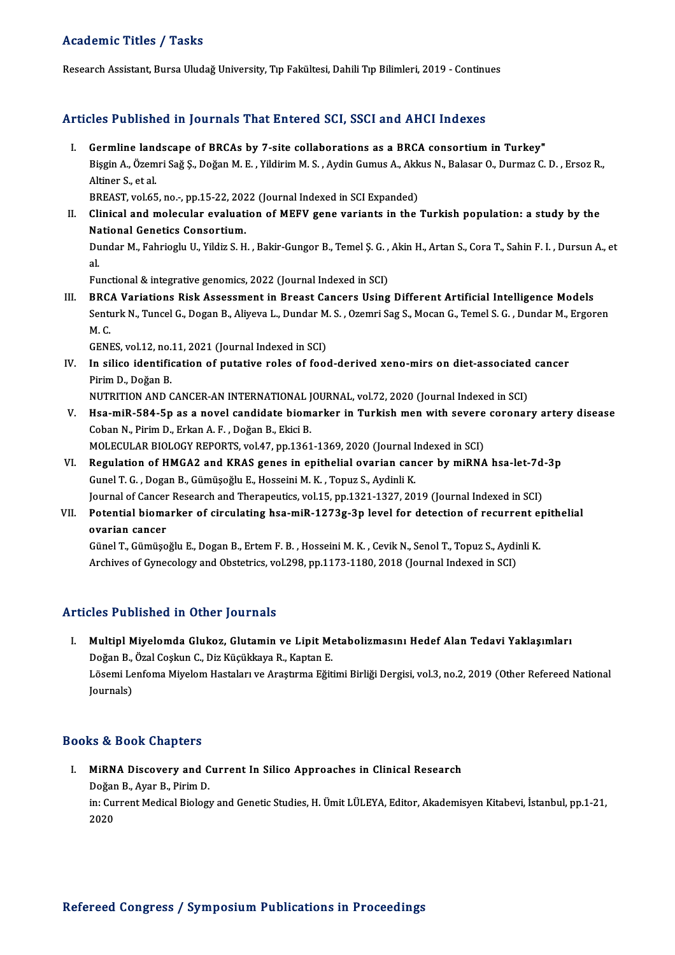## Academic Titles / Tasks

Research Assistant, Bursa Uludağ University, Tıp Fakültesi, Dahili Tıp Bilimleri, 2019 - Continues

### Articles Published in Journals That Entered SCI, SSCI and AHCI Indexes

rticles Published in Journals That Entered SCI, SSCI and AHCI Indexes<br>I. Germline landscape of BRCAs by 7-site collaborations as a BRCA consortium in Turkey"<br>Risgin A. Özemri Sağ S. Doğan M. E. Vildirim M. S. Aydin Cumus A Sico I dististica III journalis That Enter od Ser, Soer and Thref Indones<br>Germline landscape of BRCAs by 7-site collaborations as a BRCA consortium in Turkey"<br>Bişgin A., Özemri Sağ Ş., Doğan M. E. , Yildirim M. S. , Aydin **Germline land**<br>Bişgin A., Özem<br>Altiner S., et al.<br>PREAST vel 65 Bişgin A., Özemri Sağ Ş., Doğan M. E. , Yildirim M. S. , Aydin Gumus A., Akk<br>Altiner S., et al.<br>BREAST, vol.65, no.-, pp.15-22, 2022 (Journal Indexed in SCI Expanded)<br>Clinical and malacular evaluation of MEEV gane variants

BREAST, vol.65, no.-, pp.15-22, 2022 (Journal Indexed in SCI Expanded)

Altiner S., et al.<br>BREAST, vol.65, no.-, pp.15-22, 2022 (Journal Indexed in SCI Expanded)<br>II. Clinical and molecular evaluation of MEFV gene variants in the Turkish population: a study by the<br>National Genetics Consortium. Clinical and molecular evaluation of MEFV gene variants in the Turkish population: a study by the<br>National Genetics Consortium.<br>Dundar M., Fahrioglu U., Yildiz S. H. , Bakir-Gungor B., Temel Ş. G. , Akin H., Artan S., Cora

Na<br>Du<br>al. Dundar M., Fahrioglu U., Yildiz S. H. , Bakir-Gungor B., Temel Ş. G. ,<br>al.<br>Functional & integrative genomics, 2022 (Journal Indexed in SCI)<br>PPCA Variations Bisk Assessment in Preset Gensers Heing

al.<br>III. BRCA Variations Risk Assessment in Breast Cancers Using Different Artificial Intelligence Models<br>III. BRCA Variations Risk Assessment in Breast Cancers Using Different Artificial Intelligence Models Functional & integrative genomics, 2022 (Journal Indexed in SCI)<br>BRCA Variations Risk Assessment in Breast Cancers Using Different Artificial Intelligence Models<br>Senturk N., Tuncel G., Dogan B., Aliyeva L., Dundar M. S. , **BRC.<br>Senti<br>M. C.**<br>CENI Senturk N., Tuncel G., Dogan B., Aliyeva L., Dundar M<br>M. C.<br>GENES, vol.12, no.11, 2021 (Journal Indexed in SCI)<br>In silise identification of nutative reles of food

M. C.<br>GENES, vol.12, no.11, 2021 (Journal Indexed in SCI)<br>IV. In silico identification of putative roles of food-derived xeno-mirs on diet-associated cancer<br>Birim D. Doğan B GENES, vol.12, no.<br>In silico identific<br>Pirim D., Doğan B.<br>NUTPITION AND C In silico identification of putative roles of food-derived xeno-mirs on diet-associated<br>Pirim D., Doğan B.<br>NUTRITION AND CANCER-AN INTERNATIONAL JOURNAL, vol.72, 2020 (Journal Indexed in SCI)<br>Hee mill 584 En as a novel can

- Pirim D., Doğan B.<br>NUTRITION AND CANCER-AN INTERNATIONAL JOURNAL, vol.72, 2020 (Journal Indexed in SCI)<br>V. Hsa-miR-584-5p as a novel candidate biomarker in Turkish men with severe coronary artery disease<br>Coban N. Birim NUTRITION AND CANCER-AN INTERNATIONAL J<br>Hsa-miR-584-5p as a novel candidate biom<br>Coban N., Pirim D., Erkan A. F., Doğan B., Ekici B.<br>MOLECIU AR PIOLOCY REPORTS vol 47 nn 1361 V. Hsa-miR-584-5p as a novel candidate biomarker in Turkish men with severe coronary artery disease<br>Coban N., Pirim D., Erkan A. F. , Doğan B., Ekici B.<br>MOLECULAR BIOLOGY REPORTS, vol.47, pp.1361-1369, 2020 (Journal Indexe Coban N., Pirim D., Erkan A. F. , Doğan B., Ekici B.<br>MOLECULAR BIOLOGY REPORTS, vol.47, pp.1361-1369, 2020 (Journal Indexed in SCI)<br>VI. Regulation of HMGA2 and KRAS genes in epithelial ovarian cancer by miRNA hsa-let-7d-3p
- MOLECULAR BIOLOGY REPORTS, vol.47, pp.1361-1369, 2020 (Journal I<br>Regulation of HMGA2 and KRAS genes in epithelial ovarian can<br>Gunel T. G. , Dogan B., Gümüşoğlu E., Hosseini M. K. , Topuz S., Aydinli K.<br>Journal of Concer Be Regulation of HMGA2 and KRAS genes in epithelial ovarian cancer by miRNA hsa-let-7d<br>Gunel T. G. , Dogan B., Gümüşoğlu E., Hosseini M. K. , Topuz S., Aydinli K.<br>Journal of Cancer Research and Therapeutics, vol.15, pp.1321-1
- Gunel T. G. , Dogan B., Gümüşoğlu E., Hosseini M. K. , Topuz S., Aydinli K.<br>Journal of Cancer Research and Therapeutics, vol.15, pp.1321-1327, 2019 (Journal Indexed in SCI)<br>VII. Potential biomarker of circulating hsa-miR-1 **Journal of Cancer<br>Potential bioma<br>ovarian cancer<br>Cünel T. Cümüee** Potential biomarker of circulating hsa-miR-1273g-3p level for detection of recurrent exporation cancer<br>ovarian cancer<br>Günel T., Gümüşoğlu E., Dogan B., Ertem F. B. , Hosseini M. K. , Cevik N., Senol T., Topuz S., Aydinli K

ovarian cancer<br>Günel T., Gümüşoğlu E., Dogan B., Ertem F. B. , Hosseini M. K. , Cevik N., Senol T., Topuz S., Aydinli K.<br>Archives of Gynecology and Obstetrics, vol.298, pp.1173-1180, 2018 (Journal Indexed in SCI)

### Articles Published in Other Journals

rticles Published in Other Journals<br>I. Multipl Miyelomda Glukoz, Glutamin ve Lipit Metabolizmasını Hedef Alan Tedavi Yaklaşımları<br>Doğan B. Özal Coslavı C. Diz Küsüklaya B. Kantan E nce 1 abnenca in otner joarnare<br>Multipl Miyelomda Glukoz, Glutamin ve Lipit Me<br>Doğan B., Özal Coşkun C., Diz Küçükkaya R., Kaptan E.<br>Lösemi Lenfoma Miyelom Hastaları ve Arastrıma Eğit Lösemi Lenfoma Miyelom Hastaları ve Araştırma Eğitimi Birliği Dergisi, vol.3, no.2, 2019 (Other Refereed National<br>Journals) Doğan B., Özal Coşkun C., Diz Küçükkaya R., Kaptan E.

### Books&Book Chapters

I. MiRNA Discovery and Current In Silico Approaches in Clinical Research 19 & Dook Unapters<br>MiRNA Discovery and C<br>Doğan B., Ayar B., Pirim D. in: Current Medical Biology and Genetic Studies, H. Ümit LÜLEYA, Editor, Akademisyen Kitabevi, İstanbul, pp.1-21,<br>2020 Doğar<br>in: Cul<br>2020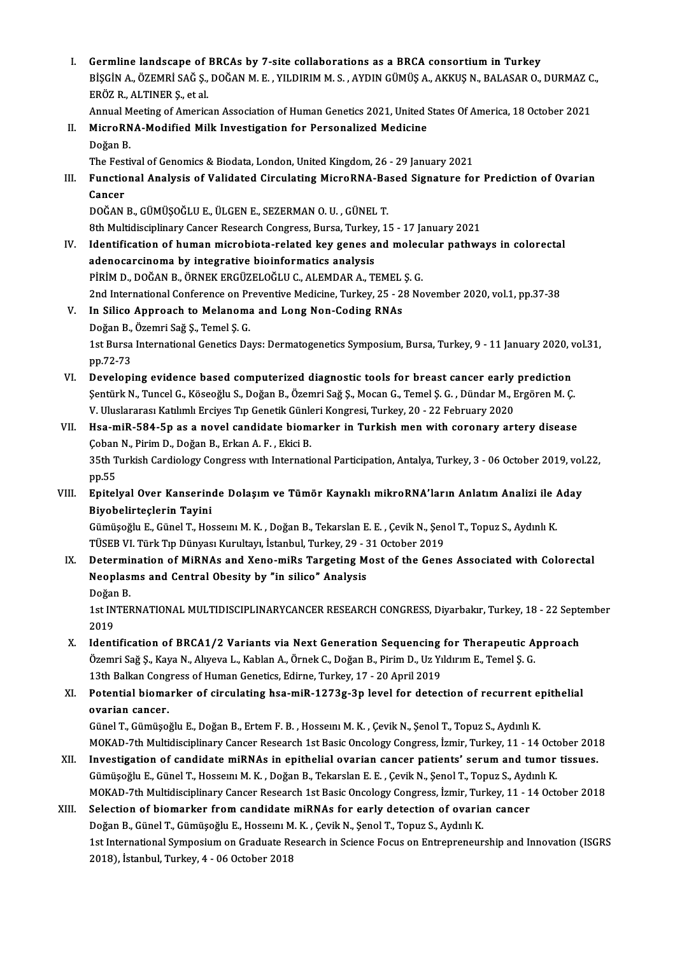I. Germline landscape of BRCAs by 7-site collaborations as a BRCA consortium in Turkey<br>PRICINA ÖZEMPLSAĞS DOĞANME XILDIBIMMS AYDIN CÜMÜSA AKKUS N. BALASAR O Germline landscape of BRCAs by 7-site collaborations as a BRCA consortium in Turkey<br>BİŞGİN A., ÖZEMRİ SAĞ Ş., DOĞAN M. E. , YILDIRIM M. S. , AYDIN GÜMÜŞ A., AKKUŞ N., BALASAR O., DURMAZ C.,<br>FRÖZ R. ALTINER S. et el Germline landscape of<br>BİŞGİN A., ÖZEMRİ SAĞ Ş.,<br>ERÖZ R., ALTINER Ş., et al.<br>Annual Meeting of America BİŞGİN A., ÖZEMRİ SAĞ Ş., DOĞAN M. E. , YILDIRIM M. S. , AYDIN GÜMÜŞ A., AKKUŞ N., BALASAR O., DURMAZ C<br>ERÖZ R., ALTINER Ş., et al.<br>Annual Meeting of American Association of Human Genetics 2021, United States Of America, 1 ERÖZ R., ALTINER Ş., et al.<br>Annual Meeting of American Association of Human Genetics 2021, United<br>II. MicroRNA-Modified Milk Investigation for Personalized Medicine<br>Doğan B. Annual Meeting of American Association of Human Genetics 2021, United States Of America, 18 October 2021 MicroRNA-Modified Milk Investigation for Personalized Medicine<br>Doğan B.<br>The Festival of Genomics & Biodata, London, United Kingdom, 26 - 29 January 2021<br>Eungtional Analysis of Validated Cineulating MisroPNA Pased Signature Doğan B.<br>I. Functional of Genomics & Biodata, London, United Kingdom, 26 - 29 January 2021<br>III. Functional Analysis of Validated Circulating MicroRNA-Based Signature for Prediction of Ovarian<br>Cancer The Fest<br><mark>Functio</mark><br>Cancer<br>DOČAN Functional Analysis of Validated Circulating MicroRNA-Ba<br>Cancer<br>DOĞAN B., GÜMÜŞOĞLU E., ÜLGEN E., SEZERMAN O. U. , GÜNEL T.<br>9th Multidisciplinary Cancer Pessarch Cangress, Bursa, Turkay, 1 Cancer<br>DOĞAN B., GÜMÜŞOĞLU E., ÜLGEN E., SEZERMAN O. U. , GÜNEL T.<br>8th Multidisciplinary Cancer Research Congress, Bursa, Turkey, 15 - 17 January 2021<br>Identification of buman microbista, related kev senes and melacular nat DOĞAN B., GÜMÜŞOĞLU E., ÜLGEN E., SEZERMAN O. U. , GÜNEL T.<br>8th Multidisciplinary Cancer Research Congress, Bursa, Turkey, 15 - 17 January 2021<br>IV. Identification of human microbiota-related key genes and molecular pathway 8th Multidisciplinary Cancer Research Congress, Bursa, Turkey<br>Identification of human microbiota-related key genes a<br>adenocarcinoma by integrative bioinformatics analysis<br>Pipim D. DOČAN B. ÖRNEK ERCÜZELOČLUG, ALEMDAR A. TI Identification of human microbiota-related key genes and molect<br>adenocarcinoma by integrative bioinformatics analysis<br>PİRİM D., DOĞAN B., ÖRNEK ERGÜZELOĞLU C., ALEMDAR A., TEMEL Ş. G.<br>2nd International Conference on Preven adenocarcinoma by integrative bioinformatics analysis<br>PİRİM D., DOĞAN B., ÖRNEK ERGÜZELOĞLU C., ALEMDAR A., TEMEL Ş. G.<br>2nd International Conference on Preventive Medicine, Turkey, 25 - 28 November 2020, vol.1, pp.37-38<br>In PIRIM D., DOĞAN B., ÖRNEK ERGÜZELOĞLU C., ALEMDAR A., TEMEL<br>2nd International Conference on Preventive Medicine, Turkey, 25 - 2:<br>V. In Silico Approach to Melanoma and Long Non-Coding RNAs<br>Dežan B. Özemri Sež S. Temel S. G. 2nd International Conference on Pr<br>In Silico Approach to Melanoma<br>Doğan B., Özemri Sağ Ş., Temel Ş. G.<br>1st Bursa International Canatica Da 1steptional International Genetics Indian International Genetics Own-Coding RNAs<br>Doğan B., Özemri Sağ Ş., Temel Ş. G.<br>1st Bursa International Genetics Days: Dermatogenetics Symposium, Bursa, Turkey, 9 - 11 January 2020, vo Doğan B., Özemri Sağ Ş., Temel Ş. G. 1st Bursa International Genetics Days: Dermatogenetics Symposium, Bursa, Turkey, 9 - 11 January 2020, v<br>pp.72-73<br>VI. Developing evidence based computerized diagnostic tools for breast cancer early prediction<br>Sential: N. Tu pp.72-73<br>Developing evidence based computerized diagnostic tools for breast cancer early prediction<br>Şentürk N., Tuncel G., Köseoğlu S., Doğan B., Özemri Sağ Ş., Mocan G., Temel Ş. G. , Dündar M., Ergören M. Ç.<br>V. Uluslarar Developing evidence based computerized diagnostic tools for breast cancer early<br>Şentürk N., Tuncel G., Köseoğlu S., Doğan B., Özemri Sağ Ş., Mocan G., Temel Ş. G. , Dündar M., I<br>V. Uluslararası Katılımlı Erciyes Tıp Geneti Şentürk N., Tuncel G., Köseoğlu S., Doğan B., Özemri Sağ Ş., Mocan G., Temel Ş. G. , Dündar M., Ergören M. Ç.<br>V. Uluslararası Katılımlı Erciyes Tıp Genetik Günleri Kongresi, Turkey, 20 - 22 February 2020<br>VII. Hsa-miR-5 V. Uluslararası Katılımlı Erciyes Tıp Genetik Günle<br>Hsa-miR-584-5p as a novel candidate biom<br>Çoban N., Pirim D., Doğan B., Erkan A. F. , Ekici B.<br>25th Turkish Cardiology Congrees unth Internati Hsa-miR-584-5p as a novel candidate biomarker in Turkish men with coronary artery disease<br>Çoban N., Pirim D., Doğan B., Erkan A. F. , Ekici B.<br>35th Turkish Cardiology Congress with International Participation, Antalya, Tur Çoban N., Pirim D., Doğan B., Erkan A. F. , Ekici B.<br>35th Turkish Cardiology Congress with International Participation, Antalya, Turkey, 3 - 06 October 2019, vol.22,<br>pp.55 35th Turkish Cardiology Congress with International Participation, Antalya, Turkey, 3 - 06 October 2019, vol<br>pp.55<br>VIII. Epitelyal Over Kanserinde Dolaşım ve Tümör Kaynaklı mikroRNA'ların Anlatım Analizi ile Aday pp.55<br><mark>Epitelyal Over Kanserin</mark><br>Biyobelirteçlerin Tayini<br>Gümüseğlu E. Günel T. He Epitelyal Over Kanserinde Dolaşım ve Tümör Kaynaklı mikroRNA'ların Anlatım Analizi ile *ı*<br>Biyobelirteçlerin Tayini<br>Gümüşoğlu E., Günel T., Hosseını M. K. , Doğan B., Tekarslan E. E. , Çevik N., Şenol T., Topuz S., Aydınlı Biyobelirteçlerin Tayini<br>Gümüşoğlu E., Günel T., Hosseını M. K. , Doğan B., Tekarslan E. E. , Çevik N., Şenol T., Topuz S., Aydınlı K.<br>TÜSEB VI. Türk Tıp Dünyası Kurultayı, İstanbul, Turkey, 29 - 31 October 2019 IX. Determination of MiRNAs and Xeno-miRs Targeting Most of the Genes Associated with Colorectal TÜSEB VI. Türk Tıp Dünyası Kurultayı, İstanbul, Turkey, 29 - 3<br>Determination of MiRNAs and Xeno-miRs Targeting M<br>Neoplasms and Central Obesity by "in silico" Analysis<br>Poğan B Determi:<br>Neoplas:<br>Doğan B.<br>1et INTEI Neoplasms and Central Obesity by "in silico" Analysis<br>Doğan B.<br>1st INTERNATIONAL MULTIDISCIPLINARYCANCER RESEARCH CONGRESS, Diyarbakır, Turkey, 18 - 22 September<br>2019 Doğar<br>1st IN<br>2019<br>Idant 1st INTERNATIONAL MULTIDISCIPLINARYCANCER RESEARCH CONGRESS, Diyarbakır, Turkey, 18 - 22 Sept<br>2019<br>X. Identification of BRCA1/2 Variants via Next Generation Sequencing for Therapeutic Approach<br><sup>Öremni Se</sub>\* S. Kaya N. Alway</sup> 2019<br>Identification of BRCA1/2 Variants via Next Generation Sequencing for Therapeutic A<br>Özemri Sağ Ş., Kaya N., Alıyeva L., Kablan A., Örnek C., Doğan B., Pirim D., Uz Yıldırım E., Temel Ş. G.<br>12th Balkan Congress of Huma Identification of BRCA1/2 Variants via Next Generation Sequencing<br>Özemri Sağ Ş., Kaya N., Alıyeva L., Kablan A., Örnek C., Doğan B., Pirim D., Uz Yı<br>13th Balkan Congress of Human Genetics, Edirne, Turkey, 17 - 20 April 201 XI. Potential biomarker of circulating hsa-miR-1273g-3p level for detection of recurrent epithelial 13th Balkan Congress of Human Genetics, Edirne, Turkey, 17 - 20 April 2019 GünelT.,GümüşoğluE.,DoğanB.,ErtemF.B. ,HosseınıM.K. ,ÇevikN.,ŞenolT.,Topuz S.,AydınlıK. <mark>ovarian cancer.</mark><br>Günel T., Gümüşoğlu E., Doğan B., Ertem F. B. , Hosseını M. K. , Çevik N., Şenol T., Topuz S., Aydınlı K.<br>MOKAD-7th Multidisciplinary Cancer Research 1st Basic Oncology Congress, İzmir, Turkey, 11 - 14 Oc Günel T., Gümüşoğlu E., Doğan B., Ertem F. B. , Hossemi M. K. , Çevik N., Şenol T., Topuz S., Aydınlı K.<br>MOKAD-7th Multidisciplinary Cancer Research 1st Basic Oncology Congress, İzmir, Turkey, 11 - 14 October 201<br>XII. Inve MOKAD-7th Multidisciplinary Cancer Research 1st Basic Oncology Congress, İzmir, Turkey, 11 - 14 Octon<br>Investigation of candidate miRNAs in epithelial ovarian cancer patients' serum and tumor<br>Gümüşoğlu E., Günel T., Hosseın Investigation of candidate miRNAs in epithelial ovarian cancer patients' serum and tumor tissues.<br>Gümüşoğlu E., Günel T., Hossemı M. K. , Doğan B., Tekarslan E. E. , Çevik N., Şenol T., Topuz S., Aydınlı K.<br>MOKAD-7th Multi Gümüşoğlu E., Günel T., Hosseını M. K. , Doğan B., Tekarslan E. E. , Çevik N., Şenol T., Topuz S., Aydınlı K.<br>MOKAD-7th Multidisciplinary Cancer Research 1st Basic Oncology Congress, İzmir, Turkey, 11 - 14 Octo<br>XIII. Selec MOKAD-7th Multidisciplinary Cancer Research 1st Basic Oncology Congress, İzmir, Tur<br>Selection of biomarker from candidate miRNAs for early detection of ovaria<br>Doğan B., Günel T., Gümüşoğlu E., Hosseını M. K. , Çevik N., Şe Selection of biomarker from candidate miRNAs for early detection of ovarian cancer<br>Doğan B., Günel T., Gümüşoğlu E., Hossemı M. K. , Çevik N., Şenol T., Topuz S., Aydınlı K.<br>1st International Symposium on Graduate Research Doğan B., Günel T., Gümüşoğlu E., Hosseını M<br>1st International Symposium on Graduate Re<br>2018), İstanbul, Turkey, 4 - 06 October 2018